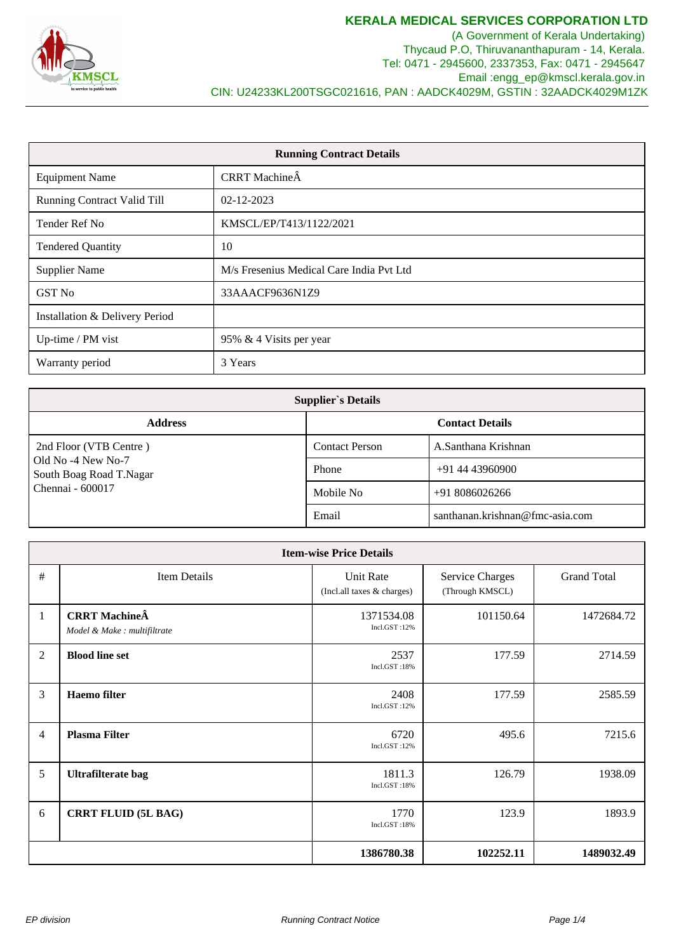

(A Government of Kerala Undertaking) Thycaud P.O, Thiruvananthapuram - 14, Kerala. Tel: 0471 - 2945600, 2337353, Fax: 0471 - 2945647 Email :engg\_ep@kmscl.kerala.gov.in CIN: U24233KL200TSGC021616, PAN : AADCK4029M, GSTIN : 32AADCK4029M1ZK

| <b>Running Contract Details</b>    |                                          |  |  |
|------------------------------------|------------------------------------------|--|--|
| <b>Equipment Name</b>              | CRRT MachineÂ                            |  |  |
| <b>Running Contract Valid Till</b> | 02-12-2023                               |  |  |
| Tender Ref No                      | KMSCL/EP/T413/1122/2021                  |  |  |
| <b>Tendered Quantity</b>           | 10                                       |  |  |
| <b>Supplier Name</b>               | M/s Fresenius Medical Care India Pvt Ltd |  |  |
| <b>GST No</b>                      | 33AAACF9636N1Z9                          |  |  |
| Installation & Delivery Period     |                                          |  |  |
| Up-time / PM vist                  | 95% & 4 Visits per year                  |  |  |
| Warranty period                    | 3 Years                                  |  |  |

| <b>Supplier's Details</b>                     |                        |                                 |  |  |  |  |
|-----------------------------------------------|------------------------|---------------------------------|--|--|--|--|
| <b>Address</b>                                | <b>Contact Details</b> |                                 |  |  |  |  |
| 2nd Floor (VTB Centre)                        | <b>Contact Person</b>  | A.Santhana Krishnan             |  |  |  |  |
| Old No -4 New No-7<br>South Boag Road T.Nagar | Phone                  | $+91$ 44 43960900               |  |  |  |  |
| Chennai - 600017                              | Mobile No              | $+918086026266$                 |  |  |  |  |
|                                               | Email                  | santhanan.krishnan@fmc-asia.com |  |  |  |  |

| <b>Item-wise Price Details</b> |                                                      |                                         |                                           |                    |  |  |  |  |
|--------------------------------|------------------------------------------------------|-----------------------------------------|-------------------------------------------|--------------------|--|--|--|--|
| #                              | Item Details                                         | Unit Rate<br>(Incl.all taxes & charges) | <b>Service Charges</b><br>(Through KMSCL) | <b>Grand Total</b> |  |  |  |  |
| $\mathbf{1}$                   | <b>CRRT</b> MachineÂ<br>Model & Make : multifiltrate | 1371534.08<br>Incl.GST:12%              | 101150.64                                 | 1472684.72         |  |  |  |  |
| $\overline{2}$                 | <b>Blood line set</b>                                | 2537<br>Incl.GST:18%                    | 177.59                                    | 2714.59            |  |  |  |  |
| 3                              | <b>Haemo</b> filter                                  | 2408<br>Incl.GST:12%                    | 177.59                                    | 2585.59            |  |  |  |  |
| $\overline{4}$                 | <b>Plasma Filter</b>                                 | 6720<br>Incl.GST:12%                    | 495.6                                     | 7215.6             |  |  |  |  |
| 5                              | Ultrafilterate bag                                   | 1811.3<br>Incl.GST:18%                  | 126.79                                    | 1938.09            |  |  |  |  |
| 6                              | <b>CRRT FLUID (5L BAG)</b>                           | 1770<br>Incl.GST:18%                    | 123.9                                     | 1893.9             |  |  |  |  |
|                                |                                                      | 1386780.38                              | 102252.11                                 | 1489032.49         |  |  |  |  |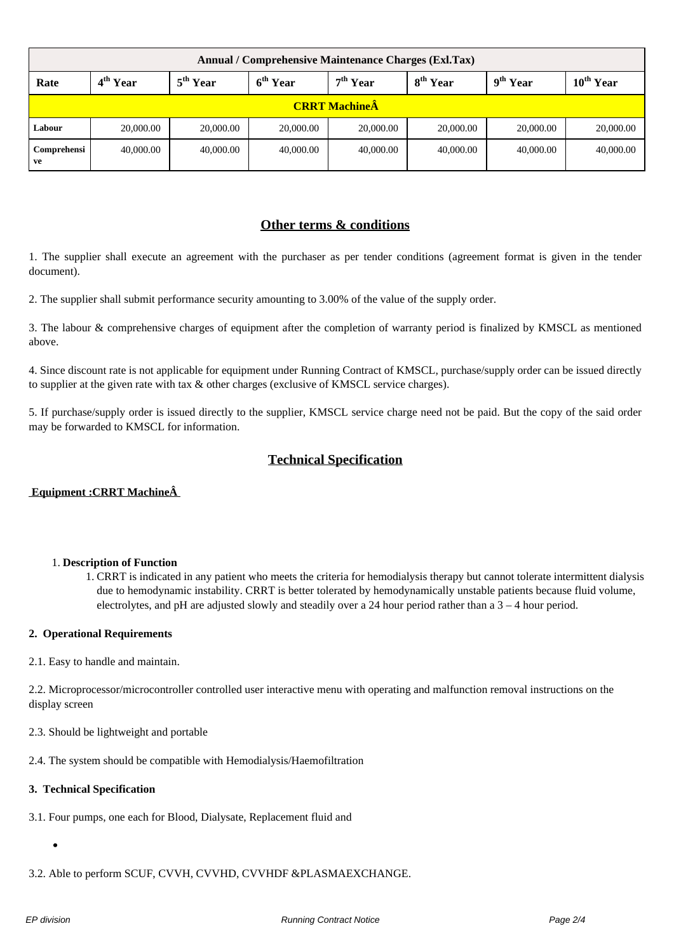| Annual / Comprehensive Maintenance Charges (Exl.Tax) |                      |                      |                      |                            |                      |                              |                |  |  |
|------------------------------------------------------|----------------------|----------------------|----------------------|----------------------------|----------------------|------------------------------|----------------|--|--|
| Rate                                                 | 4 <sup>th</sup> Year | 5 <sup>th</sup> Year | 6 <sup>th</sup> Year | $\pm$ 7 <sup>th</sup> Year | 8 <sup>th</sup> Year | $\cdot$ 9 <sup>th</sup> Year | $10^{th}$ Year |  |  |
| <b>CRRT MachineÂ</b>                                 |                      |                      |                      |                            |                      |                              |                |  |  |
| Labour                                               | 20,000.00            | 20,000.00            | 20,000.00            | 20,000.00                  | 20,000.00            | 20,000.00                    | 20,000.00      |  |  |
| Comprehensi<br>ve                                    | 40,000.00            | 40,000.00            | 40,000.00            | 40,000.00                  | 40,000.00            | 40,000.00                    | 40,000.00      |  |  |

## **Other terms & conditions**

1. The supplier shall execute an agreement with the purchaser as per tender conditions (agreement format is given in the tender document).

2. The supplier shall submit performance security amounting to 3.00% of the value of the supply order.

3. The labour & comprehensive charges of equipment after the completion of warranty period is finalized by KMSCL as mentioned above.

4. Since discount rate is not applicable for equipment under Running Contract of KMSCL, purchase/supply order can be issued directly to supplier at the given rate with tax & other charges (exclusive of KMSCL service charges).

5. If purchase/supply order is issued directly to the supplier, KMSCL service charge need not be paid. But the copy of the said order may be forwarded to KMSCL for information.

# **Technical Specification**

#### **Equipment :CRRT Machine**  $\hat{A}$

### 1. **Description of Function**

1. CRRT is indicated in any patient who meets the criteria for hemodialysis therapy but cannot tolerate intermittent dialysis due to hemodynamic instability. CRRT is better tolerated by hemodynamically unstable patients because fluid volume, electrolytes, and pH are adjusted slowly and steadily over a 24 hour period rather than a 3 – 4 hour period.

#### **2. Operational Requirements**

2.1. Easy to handle and maintain.

2.2. Microprocessor/microcontroller controlled user interactive menu with operating and malfunction removal instructions on the display screen

2.3. Should be lightweight and portable

2.4. The system should be compatible with Hemodialysis/Haemofiltration

#### **3. Technical Specification**

3.1. Four pumps, one each for Blood, Dialysate, Replacement fluid and

3.2. Able to perform SCUF, CVVH, CVVHD, CVVHDF &PLASMAEXCHANGE.

 $\bullet$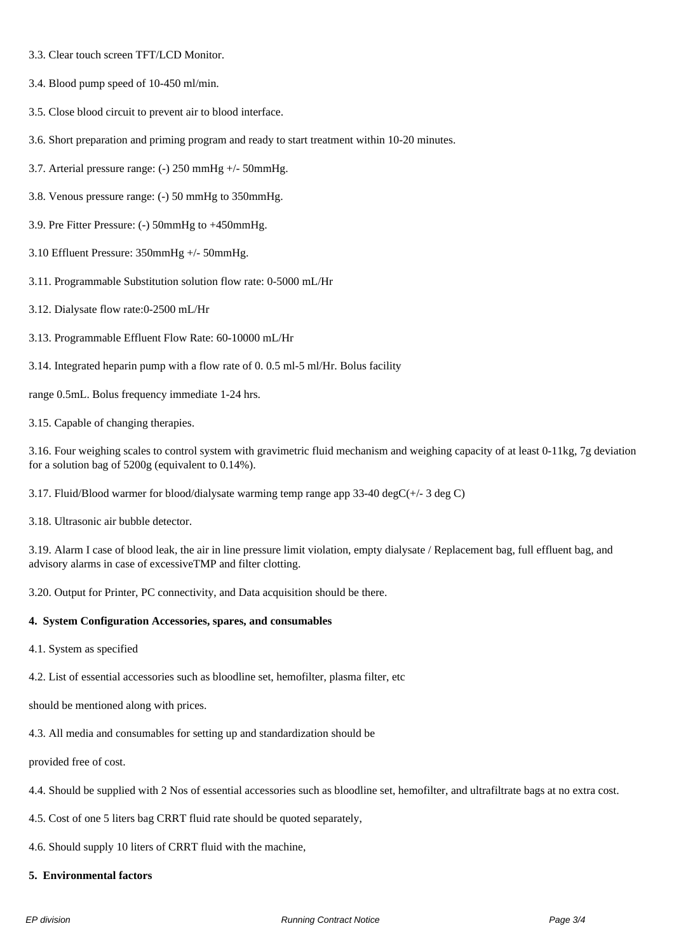- 3.3. Clear touch screen TFT/LCD Monitor.
- 3.4. Blood pump speed of 10-450 ml/min.
- 3.5. Close blood circuit to prevent air to blood interface.
- 3.6. Short preparation and priming program and ready to start treatment within 10-20 minutes.
- 3.7. Arterial pressure range: (-) 250 mmHg +/- 50mmHg.
- 3.8. Venous pressure range: (-) 50 mmHg to 350mmHg.
- 3.9. Pre Fitter Pressure: (-) 50mmHg to +450mmHg.
- 3.10 Effluent Pressure: 350mmHg +/- 50mmHg.
- 3.11. Programmable Substitution solution flow rate: 0-5000 mL/Hr
- 3.12. Dialysate flow rate:0-2500 mL/Hr
- 3.13. Programmable Effluent Flow Rate: 60-10000 mL/Hr
- 3.14. Integrated heparin pump with a flow rate of 0. 0.5 ml-5 ml/Hr. Bolus facility

range 0.5mL. Bolus frequency immediate 1-24 hrs.

3.15. Capable of changing therapies.

3.16. Four weighing scales to control system with gravimetric fluid mechanism and weighing capacity of at least 0-11kg, 7g deviation for a solution bag of 5200g (equivalent to 0.14%).

3.17. Fluid/Blood warmer for blood/dialysate warming temp range app 33-40 degC $(+/- 3$  deg C)

3.18. Ultrasonic air bubble detector.

3.19. Alarm I case of blood leak, the air in line pressure limit violation, empty dialysate / Replacement bag, full effluent bag, and advisory alarms in case of excessiveTMP and filter clotting.

3.20. Output for Printer, PC connectivity, and Data acquisition should be there.

#### **4. System Configuration Accessories, spares, and consumables**

4.1. System as specified

4.2. List of essential accessories such as bloodline set, hemofilter, plasma filter, etc

should be mentioned along with prices.

4.3. All media and consumables for setting up and standardization should be

provided free of cost.

- 4.4. Should be supplied with 2 Nos of essential accessories such as bloodline set, hemofilter, and ultrafiltrate bags at no extra cost.
- 4.5. Cost of one 5 liters bag CRRT fluid rate should be quoted separately,
- 4.6. Should supply 10 liters of CRRT fluid with the machine,
- **5. Environmental factors**